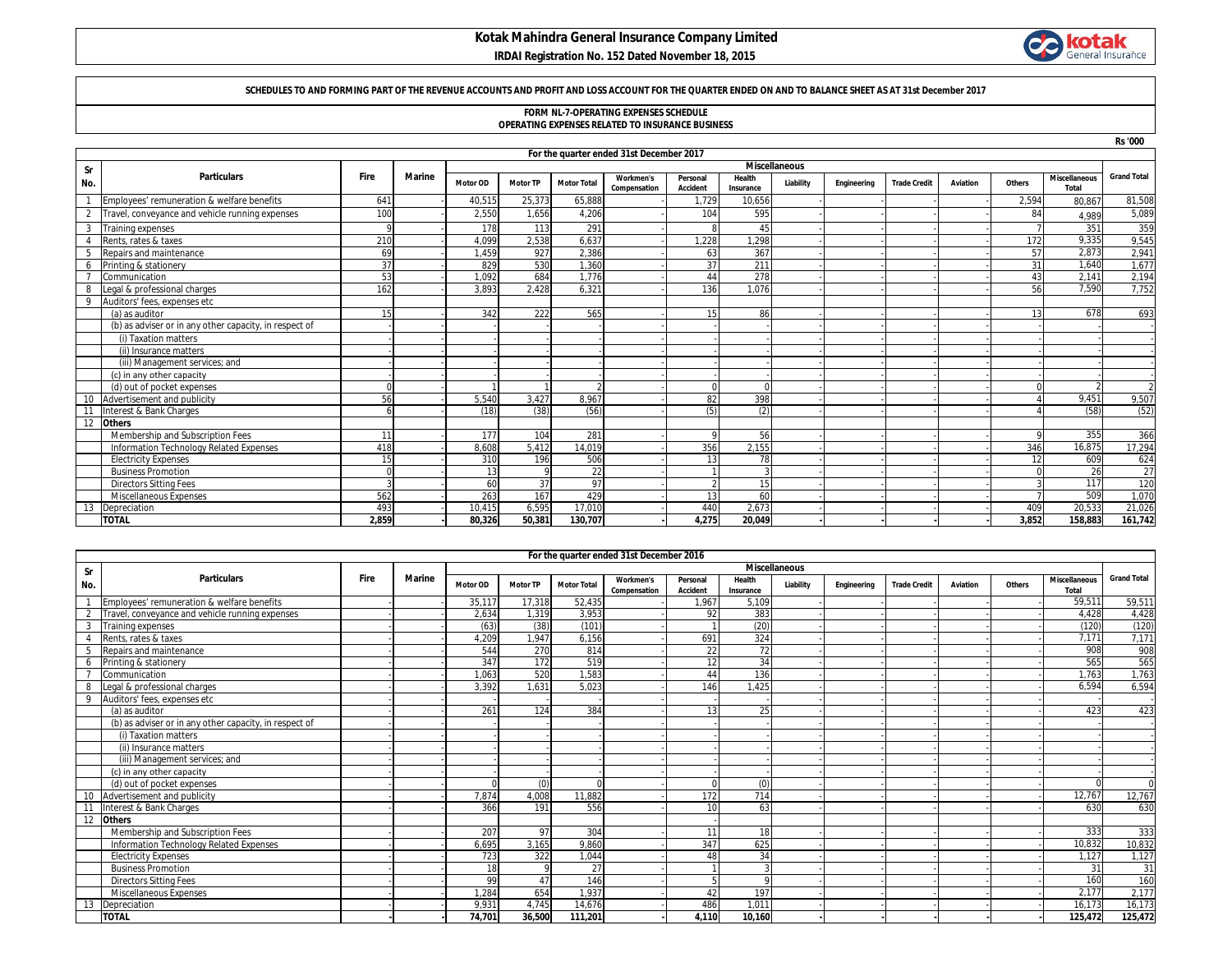# **Kotak Mahindra General Insurance Company Limited**

 **IRDAI Registration No. 152 Dated November 18, 2015**



### **SCHEDULES TO AND FORMING PART OF THE REVENUE ACCOUNTS AND PROFIT AND LOSS ACCOUNT FOR THE QUARTER ENDED ON AND TO BALANCE SHEET AS AT 31st December 2017**

### **FORM NL-7-OPERATING EXPENSES SCHEDULE OPERATING EXPENSES RELATED TO INSURANCE BUSINESS**

|     |                                                        |                 |               |          |                 |                    |                  |                 |           |                      |             |                     |          |          | <b>Rs '000</b>       |                    |
|-----|--------------------------------------------------------|-----------------|---------------|----------|-----------------|--------------------|------------------|-----------------|-----------|----------------------|-------------|---------------------|----------|----------|----------------------|--------------------|
|     | For the quarter ended 31st December 2017               |                 |               |          |                 |                    |                  |                 |           |                      |             |                     |          |          |                      |                    |
| Sr  |                                                        |                 |               |          |                 |                    |                  |                 |           | <b>Miscellaneous</b> |             |                     |          |          |                      |                    |
| No. | <b>Particulars</b>                                     | Fire            | <b>Marine</b> | Motor OD | <b>Motor TP</b> | <b>Motor Total</b> | <b>Workmen's</b> | Personal        | Health    | Liability            | Engineering | <b>Trade Credit</b> | Aviation | Others   | <b>Miscellaneous</b> | <b>Grand Total</b> |
|     |                                                        |                 |               |          |                 |                    | Compensation     | <b>Accident</b> | Insurance |                      |             |                     |          |          | <b>Total</b>         |                    |
|     | Employees' remuneration & welfare benefits             | 641             |               | 40,51    | 25,373          | 65,888             |                  | 1.729           | 10,656    |                      |             |                     |          | 2.594    | 80,867               | 81,508             |
|     | Travel, conveyance and vehicle running expenses        | 100             |               | 2,550    | 1,656           | 4,206              |                  | 104             | 595       |                      |             |                     |          | 84       | 4.989                | 5,089              |
| 3   | Training expenses                                      | c               |               | 178      | 113             | 291                |                  |                 | 45        |                      |             |                     |          |          | 351                  | 359                |
|     | Rents, rates & taxes                                   | 210             |               | 4,099    | 2,538           | 6,637              |                  | 1.228           | 1.298     |                      |             |                     |          | 172      | 9.335                | 9,545              |
| 5   | Repairs and maintenance                                | 69              |               | 1.459    | 927             | 2.386              |                  | 63              | 367       |                      |             |                     |          | 57       | 2.873                | 2,941              |
| -6  | Printing & stationery                                  | 37              |               | 829      | 530             | 1,360              |                  | 37              | 211       |                      |             |                     |          | 31       | 1.640                | 1,677              |
|     | Communication                                          | 53              |               | 1.092    | 684             | 1,776              |                  | 44              | 278       |                      |             |                     |          | 43       | 2,141                | 2,194              |
| 8   | Legal & professional charges                           | 162             |               | 3.893    | 2.428           | 6.321              |                  | 136             | 1.076     |                      |             |                     |          | 56       | 7,590                | 7,752              |
| 9   | Auditors' fees, expenses etc                           |                 |               |          |                 |                    |                  |                 |           |                      |             |                     |          |          |                      |                    |
|     | (a) as auditor                                         | 15 <sub>1</sub> |               | 342      | 222             | 565                |                  | 15              | 86        |                      |             |                     |          | 13       | 678                  | 693                |
|     | (b) as adviser or in any other capacity, in respect of |                 |               |          |                 |                    |                  |                 |           |                      |             |                     |          |          |                      |                    |
|     | (i) Taxation matters                                   |                 |               |          |                 |                    |                  |                 |           |                      |             |                     |          |          |                      |                    |
|     | (ii) Insurance matters                                 |                 |               |          |                 |                    |                  |                 |           |                      |             |                     |          |          |                      |                    |
|     | (iii) Management services; and                         |                 |               |          |                 |                    |                  |                 |           |                      |             |                     |          |          |                      |                    |
|     | (c) in any other capacity                              |                 |               |          |                 |                    |                  |                 |           |                      |             |                     |          |          |                      |                    |
|     | (d) out of pocket expenses                             |                 |               |          |                 |                    |                  |                 |           |                      |             |                     |          |          |                      |                    |
|     | Advertisement and publicity                            | 56              |               | 5,540    | 3.427           | 8.967              |                  | 82              | 398       |                      |             |                     |          |          | 9,451                | 9,507              |
| 11  | Interest & Bank Charges                                |                 |               | (18)     | (38)            | (56)               |                  | (5)             | (2)       |                      |             |                     |          |          | (58)                 | (52)               |
| 12  | <b>Others</b>                                          |                 |               |          |                 |                    |                  |                 |           |                      |             |                     |          |          |                      |                    |
|     | Membership and Subscription Fees                       | 11              |               | 177      | 104             | 281                |                  | $\Omega$        | 56        |                      |             |                     |          | $\Omega$ | 355                  | 366                |
|     | Information Technology Related Expenses                | 418             |               | 8.608    | 5.412           | 14,019             |                  | 356             | 2,155     |                      |             |                     |          | 346      | 16,875               | 17,294             |
|     | <b>Electricity Expenses</b>                            | 15              |               | 310      | 196             | 506                |                  | 13              | 78        |                      |             |                     |          | 12       | 609                  | 624                |
|     | <b>Business Promotion</b>                              |                 |               | 13       | $\mathsf Q$     | 22                 |                  |                 |           |                      |             |                     |          | $\Omega$ | 26                   | 27                 |
|     | <b>Directors Sitting Fees</b>                          |                 |               | 60       | 37              | 97                 |                  |                 | 15        |                      |             |                     |          | 3        | 117                  | 120                |
|     | Miscellaneous Expenses                                 | 562             |               | 263      | 167             | 429                |                  | 13              | 60        |                      |             |                     |          |          | 509                  | 1,070              |
|     | Depreciation                                           | 493             |               | 10.415   | 6.595           | 17,010             |                  | 440             | 2.673     |                      |             |                     |          | 409      | 20,533               | 21,026             |
|     | <b>TOTAL</b>                                           | 2.859           |               | 80.326   | 50.381          | 130.707            |                  | 4.275           | 20.049    |                      |             |                     |          | 3.852    | 158.883              | 161,742            |

|           | For the quarter ended 31st December 2016               |      |               |                 |                      |                    |                                  |                             |                     |           |             |                     |          |               |                                      |                    |
|-----------|--------------------------------------------------------|------|---------------|-----------------|----------------------|--------------------|----------------------------------|-----------------------------|---------------------|-----------|-------------|---------------------|----------|---------------|--------------------------------------|--------------------|
| <b>Sr</b> |                                                        |      |               |                 | <b>Miscellaneous</b> |                    |                                  |                             |                     |           |             |                     |          |               |                                      |                    |
| No.       | <b>Particulars</b>                                     | Fire | <b>Marine</b> | <b>Motor OD</b> | <b>Motor TP</b>      | <b>Motor Total</b> | <b>Workmen's</b><br>Compensation | Personal<br><b>Accident</b> | Health<br>Insurance | Liability | Engineering | <b>Trade Credit</b> | Aviation | <b>Others</b> | <b>Miscellaneous</b><br><b>Total</b> | <b>Grand Total</b> |
|           | Employees' remuneration & welfare benefits             |      |               | 35,117          | 17,318               | 52,435             |                                  | 1.967                       | 5.109               |           |             |                     |          |               | 59,511                               | 59,511             |
| 2         | Travel, conveyance and vehicle running expenses        |      |               | 2,634           | 1.319                | 3,953              |                                  | 92                          | 383                 |           |             |                     |          |               | 4,428                                | 4,428              |
|           | <b>Training expenses</b>                               |      |               | (63)            | (38)                 | (101)              |                                  |                             | (20)                |           |             |                     |          |               | (120)                                | (120)              |
|           | Rents, rates & taxes                                   |      |               | 4,209           | 1.947                | 6,156              |                                  | 691                         | 324                 |           |             |                     |          |               | 7.171                                | 7,171              |
|           | Repairs and maintenance                                |      |               | 544             | 270                  | 814                |                                  | 22                          | 72                  |           |             |                     |          |               | 908                                  | 908                |
| 6         | Printing & stationery                                  |      |               | 347             | 172                  | 519                |                                  | 12                          | 34                  |           |             |                     |          |               | 565                                  | 565                |
|           | Communication                                          |      |               | 1.063           | 520                  | 1.583              |                                  | $\Delta\Delta$              | 136                 |           |             |                     |          |               | 1.763                                | 1,763              |
| 8         | Legal & professional charges                           |      |               | 3.392           | 1.631                | 5.023              |                                  | 146                         | 1.425               |           |             |                     |          |               | 6.594                                | 6,594              |
|           | Auditors' fees, expenses etc                           |      |               |                 |                      |                    |                                  |                             |                     |           |             |                     |          |               |                                      |                    |
|           | (a) as auditor                                         |      |               | 261             | 124                  | 384                |                                  | 13                          | 25                  |           |             |                     |          |               | 423                                  | 423                |
|           | (b) as adviser or in any other capacity, in respect of |      |               |                 |                      |                    |                                  |                             |                     |           |             |                     |          |               |                                      |                    |
|           | (i) Taxation matters                                   |      |               |                 |                      |                    |                                  |                             |                     |           |             |                     |          |               |                                      |                    |
|           | (ii) Insurance matters                                 |      |               |                 |                      |                    |                                  |                             |                     |           |             |                     |          |               |                                      |                    |
|           | (iii) Management services; and                         |      |               |                 |                      |                    |                                  |                             |                     |           |             |                     |          |               |                                      |                    |
|           | (c) in any other capacity                              |      |               |                 |                      |                    |                                  |                             |                     |           |             |                     |          |               |                                      |                    |
|           | (d) out of pocket expenses                             |      |               |                 | (0)                  | $\Omega$           |                                  |                             | (0)                 |           |             |                     |          |               |                                      |                    |
| 10        | Advertisement and publicity                            |      |               | 7.874           | 4.008                | 11.882             |                                  | 172                         | 714                 |           |             |                     |          |               | 12,767                               | 12,767             |
|           | Interest & Bank Charges                                |      |               | 366             | 191                  | 556                |                                  |                             | 63                  |           |             |                     |          |               | 630                                  | 630                |
| 12        | <b>Others</b>                                          |      |               |                 |                      |                    |                                  |                             |                     |           |             |                     |          |               |                                      |                    |
|           | Membership and Subscription Fees                       |      |               | 207             | 97                   | 304                |                                  | 11                          | 18                  |           |             |                     |          |               | 333                                  | 333                |
|           | Information Technology Related Expenses                |      |               | 6.695           | 3.165                | 9.860              |                                  | 347                         | 625                 |           |             |                     |          |               | 10,832                               | 10,832             |
|           | <b>Electricity Expenses</b>                            |      |               | 723             | 322                  | 1,044              |                                  | 48                          | 34                  |           |             |                     |          |               | 1,127                                | 1,127              |
|           | <b>Business Promotion</b>                              |      |               | 18              | $\Omega$             | 27                 |                                  |                             |                     |           |             |                     |          |               | 31                                   | 31                 |
|           | <b>Directors Sitting Fees</b>                          |      |               | 99              | 47                   | 146                |                                  |                             |                     |           |             |                     |          |               | 160                                  | 160                |
|           | Miscellaneous Expenses                                 |      |               | 1,284           | 654                  | 1,937              |                                  | 42                          | 197                 |           |             |                     |          |               | 2.177                                | 2,177              |
| 13        | Depreciation                                           |      |               | 9.931           | 4.745                | 14,676             |                                  | 486                         | 1.011               |           |             |                     |          |               | 16,173                               | 16,173             |
|           | <b>TOTAL</b>                                           |      |               | 74.701          | 36,500               | 111.201            |                                  | 4.110                       | 10.160              |           |             |                     |          |               | 125.472                              | 125,472            |